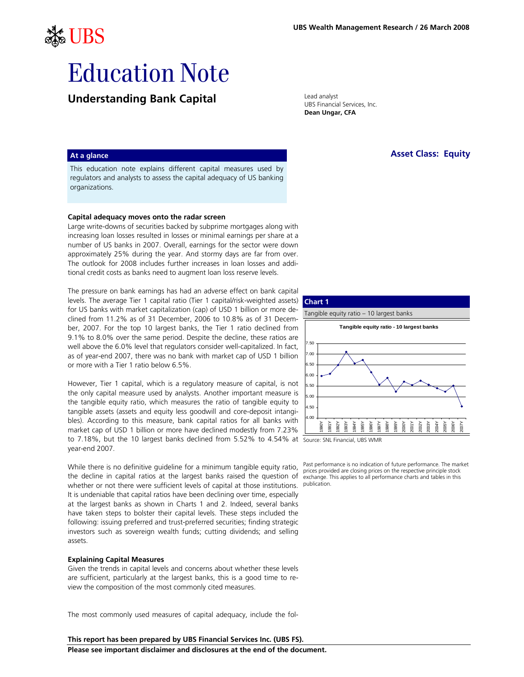# **able LIBS** UBS Wealth Management Research / 26 March 2008<br>@A@\_UBS

# Education Note

## **Understanding Bank Capital Lead analyst**

UBS Financial Services, Inc. **Dean Ungar, CFA** 

#### **At a glance**

This education note explains different capital measures used by regulators and analysts to assess the capital adequacy of US banking organizations.

#### **Capital adequacy moves onto the radar screen**

Large write-downs of securities backed by subprime mortgages along with increasing loan losses resulted in losses or minimal earnings per share at a number of US banks in 2007. Overall, earnings for the sector were down approximately 25% during the year. And stormy days are far from over. The outlook for 2008 includes further increases in loan losses and additional credit costs as banks need to augment loan loss reserve levels.

The pressure on bank earnings has had an adverse effect on bank capital levels. The average Tier 1 capital ratio (Tier 1 capital/risk-weighted assets) for US banks with market capitalization (cap) of USD 1 billion or more declined from 11.2% as of 31 December, 2006 to 10.8% as of 31 December, 2007. For the top 10 largest banks, the Tier 1 ratio declined from 9.1% to 8.0% over the same period. Despite the decline, these ratios are well above the 6.0% level that regulators consider well-capitalized. In fact, as of year-end 2007, there was no bank with market cap of USD 1 billion or more with a Tier 1 ratio below 6.5%.

However, Tier 1 capital, which is a regulatory measure of capital, is not the only capital measure used by analysts. Another important measure is the tangible equity ratio, which measures the ratio of tangible equity to tangible assets (assets and equity less goodwill and core-deposit intangibles). According to this measure, bank capital ratios for all banks with market cap of USD 1 billion or more have declined modestly from 7.23% to 7.18%, but the 10 largest banks declined from 5.52% to 4.54% at Source: SNL Financial, UBS WMR year-end 2007.

While there is no definitive guideline for a minimum tangible equity ratio, the decline in capital ratios at the largest banks raised the question of whether or not there were sufficient levels of capital at those institutions. It is undeniable that capital ratios have been declining over time, especially at the largest banks as shown in Charts 1 and 2. Indeed, several banks have taken steps to bolster their capital levels. These steps included the following: issuing preferred and trust-preferred securities; finding strategic investors such as sovereign wealth funds; cutting dividends; and selling assets.

#### **Explaining Capital Measures**

Given the trends in capital levels and concerns about whether these levels are sufficient, particularly at the largest banks, this is a good time to review the composition of the most commonly cited measures.

The most commonly used measures of capital adequacy, include the fol-



Past performance is no indication of future performance. The market prices provided are closing prices on the respective principle stock exchange. This applies to all performance charts and tables in this publication.

**Please see important disclaimer and disclosures at the end of the document.** 

## **Asset Class: Equity**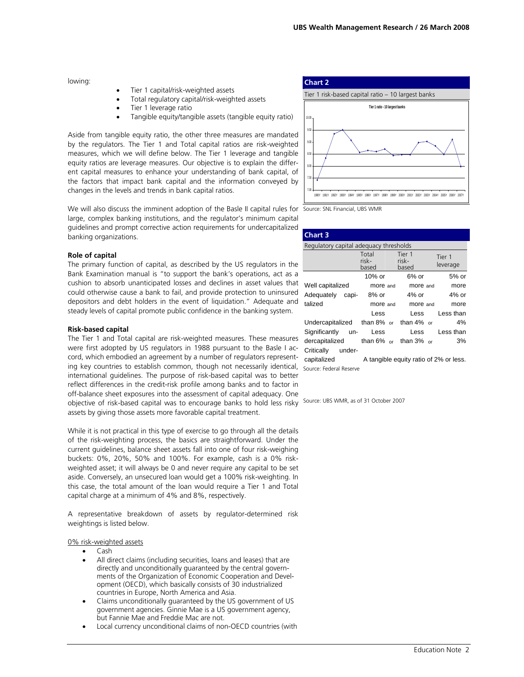lowing:

- Tier 1 capital/risk-weighted assets
- Total regulatory capital/risk-weighted assets
- Tier 1 leverage ratio
- Tangible equity/tangible assets (tangible equity ratio)

Aside from tangible equity ratio, the other three measures are mandated by the regulators. The Tier 1 and Total capital ratios are risk-weighted measures, which we will define below. The Tier 1 leverage and tangible equity ratios are leverage measures. Our objective is to explain the different capital measures to enhance your understanding of bank capital, of the factors that impact bank capital and the information conveyed by changes in the levels and trends in bank capital ratios.

We will also discuss the imminent adoption of the Basle II capital rules for Source: SNL Financial, UBS WMR large, complex banking institutions, and the regulator's minimum capital guidelines and prompt corrective action requirements for undercapitalized banking organizations.

#### **Role of capital**

The primary function of capital, as described by the US regulators in the Bank Examination manual is "to support the bank's operations, act as a cushion to absorb unanticipated losses and declines in asset values that could otherwise cause a bank to fail, and provide protection to uninsured depositors and debt holders in the event of liquidation." Adequate and steady levels of capital promote public confidence in the banking system.

#### **Risk-based capital**

The Tier 1 and Total capital are risk-weighted measures. These measures were first adopted by US regulators in 1988 pursuant to the Basle I acwere first adopted by US regulators in 1966 pursuant to the Basie Fac- Critically under-<br>cord, which embodied an agreement by a number of regulators represent- capitalized ing key countries to establish common, though not necessarily identical, Source: Federal Reserve international guidelines. The purpose of risk-based capital was to better reflect differences in the credit-risk profile among banks and to factor in off-balance sheet exposures into the assessment of capital adequacy. One objective of risk-based capital was to encourage banks to hold less risky Source: UBS WMR, as of 31 October 2007 assets by giving those assets more favorable capital treatment.

While it is not practical in this type of exercise to go through all the details of the risk-weighting process, the basics are straightforward. Under the current guidelines, balance sheet assets fall into one of four risk-weighing buckets: 0%, 20%, 50% and 100%. For example, cash is a 0% riskweighted asset; it will always be 0 and never require any capital to be set aside. Conversely, an unsecured loan would get a 100% risk-weighting. In this case, the total amount of the loan would require a Tier 1 and Total capital charge at a minimum of 4% and 8%, respectively.

A representative breakdown of assets by regulator-determined risk weightings is listed below.

#### 0% risk-weighted assets

- Cash
- All direct claims (including securities, loans and leases) that are directly and unconditionally guaranteed by the central governments of the Organization of Economic Cooperation and Development (OECD), which basically consists of 30 industrialized countries in Europe, North America and Asia.
- Claims unconditionally guaranteed by the US government of US government agencies. Ginnie Mae is a US government agency, but Fannie Mae and Freddie Mac are not.
- Local currency unconditional claims of non-OECD countries (with





| <b>Chart 3</b>                                                                                                    |                         |                          |                                                                         |  |                    |  |  |
|-------------------------------------------------------------------------------------------------------------------|-------------------------|--------------------------|-------------------------------------------------------------------------|--|--------------------|--|--|
| Regulatory capital adequacy thresholds                                                                            |                         |                          |                                                                         |  |                    |  |  |
|                                                                                                                   | Total<br>risk-<br>based | Tier 1<br>risk-<br>based |                                                                         |  | Tier 1<br>leverage |  |  |
|                                                                                                                   | 10% or                  |                          | $6%$ or                                                                 |  | 5% or              |  |  |
| Well capitalized                                                                                                  | more and                |                          | more and                                                                |  | more               |  |  |
| Adequately capi-                                                                                                  | 8% or                   |                          | $4%$ or                                                                 |  | $4%$ or            |  |  |
| talized                                                                                                           | more and                |                          | more and                                                                |  | more               |  |  |
|                                                                                                                   | Less                    |                          | Less                                                                    |  | Less than          |  |  |
| Undercapitalized than 8% or than 4% or                                                                            |                         |                          |                                                                         |  | 4%                 |  |  |
| Significantly un-                                                                                                 | Less                    |                          | Less                                                                    |  | Less than          |  |  |
| dercapitalized                                                                                                    | than $6\%$ or           |                          | than $3\%$ or                                                           |  | 3%                 |  |  |
| Critically under-                                                                                                 |                         |                          |                                                                         |  |                    |  |  |
| and a structure of the state of the state of the state of the state of the state of the state of the state of the |                         |                          | A family large section and $\sim$ $\sim$ $\sim$ 0.04 $\sim$ $\sim$ 1.03 |  |                    |  |  |

A tangible equity ratio of 2% or less.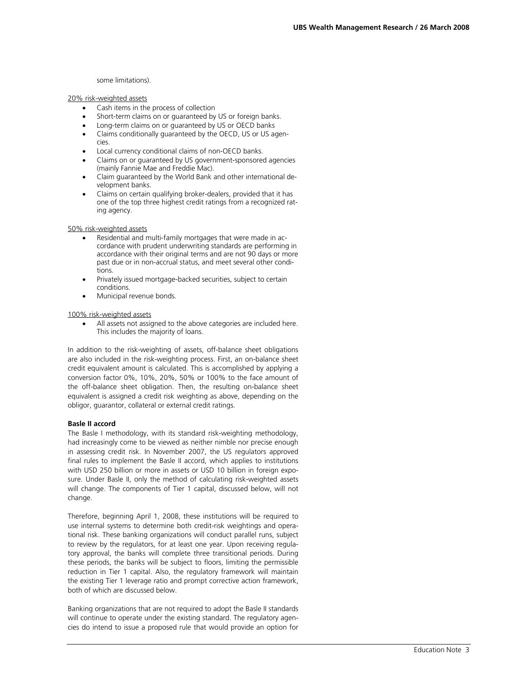some limitations).

#### 20% risk-weighted assets

- Cash items in the process of collection
- Short-term claims on or guaranteed by US or foreign banks.
- Long-term claims on or guaranteed by US or OECD banks
- Claims conditionally guaranteed by the OECD, US or US agencies.
- Local currency conditional claims of non-OECD banks.
- Claims on or guaranteed by US government-sponsored agencies (mainly Fannie Mae and Freddie Mac).
- Claim guaranteed by the World Bank and other international development banks.
- Claims on certain qualifying broker-dealers, provided that it has one of the top three highest credit ratings from a recognized rating agency.

#### 50% risk-weighted assets

- Residential and multi-family mortgages that were made in accordance with prudent underwriting standards are performing in accordance with their original terms and are not 90 days or more past due or in non-accrual status, and meet several other conditions.
- Privately issued mortgage-backed securities, subject to certain conditions.
- Municipal revenue bonds.

#### 100% risk-weighted assets

All assets not assigned to the above categories are included here. This includes the majority of loans.

In addition to the risk-weighting of assets, off-balance sheet obligations are also included in the risk-weighting process. First, an on-balance sheet credit equivalent amount is calculated. This is accomplished by applying a conversion factor 0%, 10%, 20%, 50% or 100% to the face amount of the off-balance sheet obligation. Then, the resulting on-balance sheet equivalent is assigned a credit risk weighting as above, depending on the obligor, guarantor, collateral or external credit ratings.

#### **Basle II accord**

The Basle I methodology, with its standard risk-weighting methodology, had increasingly come to be viewed as neither nimble nor precise enough in assessing credit risk. In November 2007, the US regulators approved final rules to implement the Basle II accord, which applies to institutions with USD 250 billion or more in assets or USD 10 billion in foreign exposure. Under Basle II, only the method of calculating risk-weighted assets will change. The components of Tier 1 capital, discussed below, will not change.

Therefore, beginning April 1, 2008, these institutions will be required to use internal systems to determine both credit-risk weightings and operational risk. These banking organizations will conduct parallel runs, subject to review by the regulators, for at least one year. Upon receiving regulatory approval, the banks will complete three transitional periods. During these periods, the banks will be subject to floors, limiting the permissible reduction in Tier 1 capital. Also, the regulatory framework will maintain the existing Tier 1 leverage ratio and prompt corrective action framework, both of which are discussed below.

Banking organizations that are not required to adopt the Basle II standards will continue to operate under the existing standard. The regulatory agencies do intend to issue a proposed rule that would provide an option for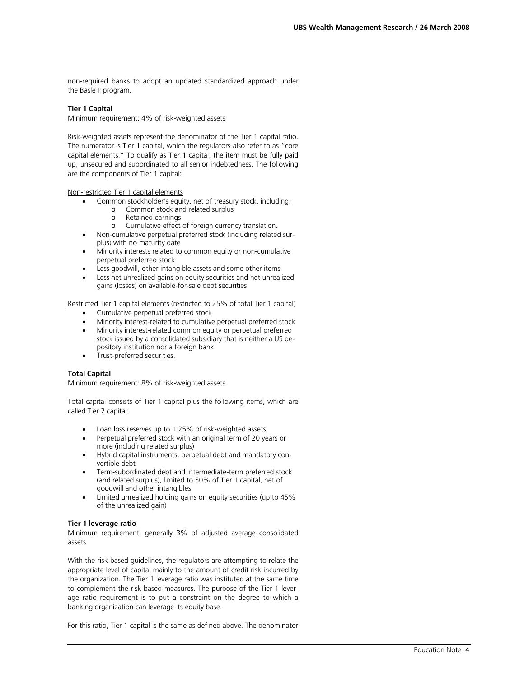non-required banks to adopt an updated standardized approach under the Basle II program.

#### **Tier 1 Capital**

Minimum requirement: 4% of risk-weighted assets

Risk-weighted assets represent the denominator of the Tier 1 capital ratio. The numerator is Tier 1 capital, which the regulators also refer to as "core capital elements." To qualify as Tier 1 capital, the item must be fully paid up, unsecured and subordinated to all senior indebtedness. The following are the components of Tier 1 capital:

Non-restricted Tier 1 capital elements

- Common stockholder's equity, net of treasury stock, including:
	- o Common stock and related surplus
	- o Retained earnings<br>
	o Cumulative effect
	- Cumulative effect of foreign currency translation.
	- Non-cumulative perpetual preferred stock (including related surplus) with no maturity date
- Minority interests related to common equity or non-cumulative perpetual preferred stock
- Less goodwill, other intangible assets and some other items
- Less net unrealized gains on equity securities and net unrealized gains (losses) on available-for-sale debt securities.

Restricted Tier 1 capital elements (restricted to 25% of total Tier 1 capital)

- Cumulative perpetual preferred stock
- Minority interest-related to cumulative perpetual preferred stock
- Minority interest-related common equity or perpetual preferred stock issued by a consolidated subsidiary that is neither a US depository institution nor a foreign bank.
- Trust-preferred securities.

#### **Total Capital**

Minimum requirement: 8% of risk-weighted assets

Total capital consists of Tier 1 capital plus the following items, which are called Tier 2 capital:

- Loan loss reserves up to 1.25% of risk-weighted assets
- Perpetual preferred stock with an original term of 20 years or more (including related surplus)
- Hybrid capital instruments, perpetual debt and mandatory convertible debt
- Term-subordinated debt and intermediate-term preferred stock (and related surplus), limited to 50% of Tier 1 capital, net of goodwill and other intangibles
- Limited unrealized holding gains on equity securities (up to 45% of the unrealized gain)

#### **Tier 1 leverage ratio**

Minimum requirement: generally 3% of adjusted average consolidated assets

With the risk-based guidelines, the regulators are attempting to relate the appropriate level of capital mainly to the amount of credit risk incurred by the organization. The Tier 1 leverage ratio was instituted at the same time to complement the risk-based measures. The purpose of the Tier 1 leverage ratio requirement is to put a constraint on the degree to which a banking organization can leverage its equity base.

For this ratio, Tier 1 capital is the same as defined above. The denominator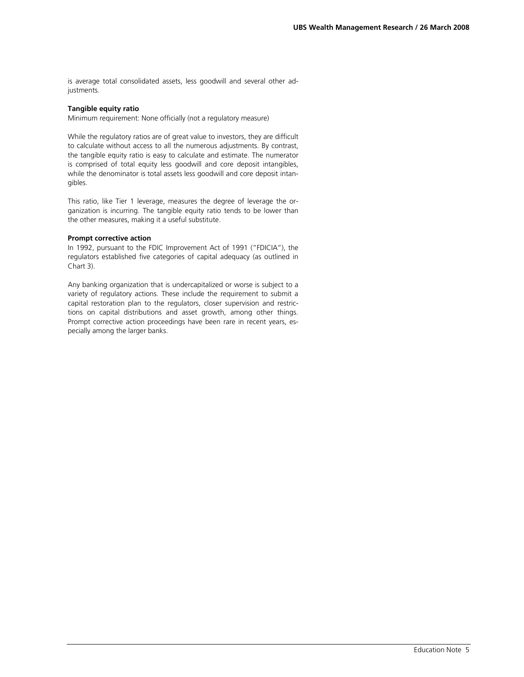is average total consolidated assets, less goodwill and several other adjustments.

#### **Tangible equity ratio**

Minimum requirement: None officially (not a regulatory measure)

While the regulatory ratios are of great value to investors, they are difficult to calculate without access to all the numerous adjustments. By contrast, the tangible equity ratio is easy to calculate and estimate. The numerator is comprised of total equity less goodwill and core deposit intangibles, while the denominator is total assets less goodwill and core deposit intangibles.

This ratio, like Tier 1 leverage, measures the degree of leverage the organization is incurring. The tangible equity ratio tends to be lower than the other measures, making it a useful substitute.

#### **Prompt corrective action**

In 1992, pursuant to the FDIC Improvement Act of 1991 ("FDICIA"), the regulators established five categories of capital adequacy (as outlined in Chart 3).

Any banking organization that is undercapitalized or worse is subject to a variety of regulatory actions. These include the requirement to submit a capital restoration plan to the regulators, closer supervision and restrictions on capital distributions and asset growth, among other things. Prompt corrective action proceedings have been rare in recent years, especially among the larger banks.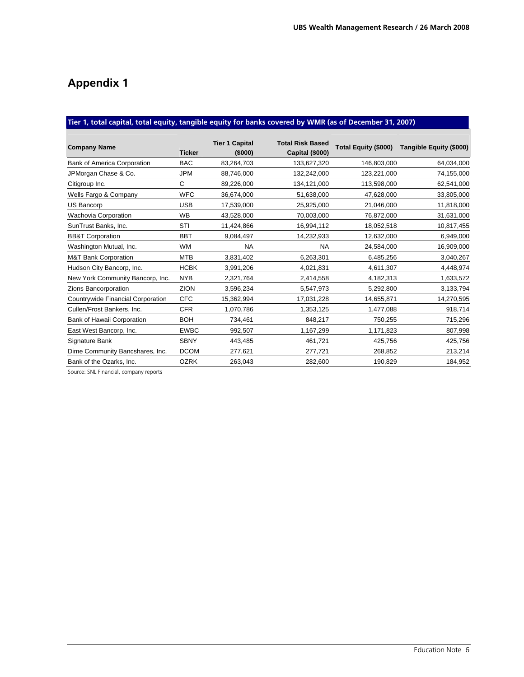### **Tier 1, total capital, total equity, tangible equity for banks covered by WMR (as of December 31, 2007)**

| <b>Company Name</b>               | <b>Ticker</b> | <b>Tier 1 Capital</b><br>(\$000) | <b>Total Risk Based</b><br>Capital (\$000) | Total Equity (\$000) | Tangible Equity (\$000) |
|-----------------------------------|---------------|----------------------------------|--------------------------------------------|----------------------|-------------------------|
| Bank of America Corporation       | <b>BAC</b>    | 83,264,703                       | 133,627,320                                | 146,803,000          | 64,034,000              |
| JPMorgan Chase & Co.              | <b>JPM</b>    | 88,746,000                       | 132,242,000                                | 123,221,000          | 74,155,000              |
| Citigroup Inc.                    | C             | 89,226,000                       | 134,121,000                                | 113,598,000          | 62,541,000              |
| Wells Fargo & Company             | <b>WFC</b>    | 36,674,000                       | 51,638,000                                 | 47,628,000           | 33,805,000              |
| US Bancorp                        | <b>USB</b>    | 17,539,000                       | 25,925,000                                 | 21,046,000           | 11,818,000              |
| Wachovia Corporation              | <b>WB</b>     | 43,528,000                       | 70,003,000                                 | 76,872,000           | 31,631,000              |
| SunTrust Banks, Inc.              | STI           | 11,424,866                       | 16,994,112                                 | 18,052,518           | 10,817,455              |
| <b>BB&amp;T Corporation</b>       | <b>BBT</b>    | 9,084,497                        | 14,232,933                                 | 12,632,000           | 6,949,000               |
| Washington Mutual, Inc.           | <b>WM</b>     | <b>NA</b>                        | <b>NA</b>                                  | 24,584,000           | 16,909,000              |
| <b>M&amp;T Bank Corporation</b>   | <b>MTB</b>    | 3,831,402                        | 6,263,301                                  | 6,485,256            | 3,040,267               |
| Hudson City Bancorp, Inc.         | <b>HCBK</b>   | 3,991,206                        | 4,021,831                                  | 4,611,307            | 4,448,974               |
| New York Community Bancorp, Inc.  | <b>NYB</b>    | 2,321,764                        | 2,414,558                                  | 4,182,313            | 1,633,572               |
| Zions Bancorporation              | <b>ZION</b>   | 3,596,234                        | 5,547,973                                  | 5,292,800            | 3,133,794               |
| Countrywide Financial Corporation | <b>CFC</b>    | 15,362,994                       | 17,031,228                                 | 14,655,871           | 14,270,595              |
| Cullen/Frost Bankers, Inc.        | <b>CFR</b>    | 1,070,786                        | 1,353,125                                  | 1,477,088            | 918,714                 |
| Bank of Hawaii Corporation        | <b>BOH</b>    | 734,461                          | 848,217                                    | 750,255              | 715,296                 |
| East West Bancorp, Inc.           | <b>EWBC</b>   | 992,507                          | 1,167,299                                  | 1,171,823            | 807,998                 |
| Signature Bank                    | <b>SBNY</b>   | 443,485                          | 461,721                                    | 425,756              | 425,756                 |
| Dime Community Bancshares, Inc.   | <b>DCOM</b>   | 277,621                          | 277,721                                    | 268,852              | 213,214                 |
| Bank of the Ozarks, Inc.          | <b>OZRK</b>   | 263,043                          | 282,600                                    | 190,829              | 184,952                 |

Source: SNL Financial, company reports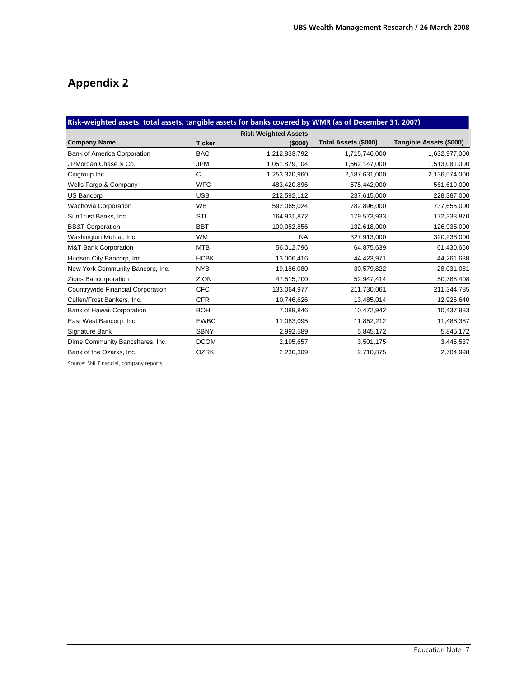| Risk-weighted assets, total assets, tangible assets for banks covered by WMR (as of December 31, 2007) |               |                             |                      |                         |  |  |
|--------------------------------------------------------------------------------------------------------|---------------|-----------------------------|----------------------|-------------------------|--|--|
|                                                                                                        |               | <b>Risk Weighted Assets</b> |                      |                         |  |  |
| <b>Company Name</b>                                                                                    | <b>Ticker</b> | (\$000)                     | Total Assets (\$000) | Tangible Assets (\$000) |  |  |
| Bank of America Corporation                                                                            | <b>BAC</b>    | 1,212,833,792               | 1,715,746,000        | 1,632,977,000           |  |  |
| JPMorgan Chase & Co.                                                                                   | <b>JPM</b>    | 1,051,879,104               | 1,562,147,000        | 1,513,081,000           |  |  |
| Citigroup Inc.                                                                                         | C             | 1,253,320,960               | 2,187,631,000        | 2,136,574,000           |  |  |
| Wells Fargo & Company                                                                                  | <b>WFC</b>    | 483,420,896                 | 575,442,000          | 561,619,000             |  |  |
| US Bancorp                                                                                             | <b>USB</b>    | 212,592,112                 | 237,615,000          | 228,387,000             |  |  |
| Wachovia Corporation                                                                                   | <b>WB</b>     | 592,065,024                 | 782,896,000          | 737,655,000             |  |  |
| SunTrust Banks, Inc.                                                                                   | STI           | 164,931,872                 | 179,573,933          | 172,338,870             |  |  |
| <b>BB&amp;T Corporation</b>                                                                            | <b>BBT</b>    | 100,052,856                 | 132,618,000          | 126,935,000             |  |  |
| Washington Mutual, Inc.                                                                                | <b>WM</b>     | <b>NA</b>                   | 327,913,000          | 320,238,000             |  |  |
| <b>M&amp;T Bank Corporation</b>                                                                        | <b>MTB</b>    | 56,012,796                  | 64,875,639           | 61,430,650              |  |  |
| Hudson City Bancorp, Inc.                                                                              | <b>HCBK</b>   | 13,006,416                  | 44,423,971           | 44,261,638              |  |  |
| New York Community Bancorp, Inc.                                                                       | <b>NYB</b>    | 19,186,080                  | 30,579,822           | 28,031,081              |  |  |
| Zions Bancorporation                                                                                   | <b>ZION</b>   | 47,515,700                  | 52,947,414           | 50,788,408              |  |  |
| Countrywide Financial Corporation                                                                      | <b>CFC</b>    | 133,064,977                 | 211,730,061          | 211,344,785             |  |  |
| Cullen/Frost Bankers, Inc.                                                                             | <b>CFR</b>    | 10,746,626                  | 13,485,014           | 12,926,640              |  |  |
| Bank of Hawaii Corporation                                                                             | <b>BOH</b>    | 7,089,846                   | 10,472,942           | 10,437,983              |  |  |
| East West Bancorp, Inc.                                                                                | <b>EWBC</b>   | 11,083,095                  | 11,852,212           | 11,488,387              |  |  |
| Signature Bank                                                                                         | <b>SBNY</b>   | 2,992,589                   | 5,845,172            | 5,845,172               |  |  |
| Dime Community Bancshares, Inc.                                                                        | <b>DCOM</b>   | 2,195,657                   | 3,501,175            | 3,445,537               |  |  |
| Bank of the Ozarks, Inc.                                                                               | <b>OZRK</b>   | 2,230,309                   | 2,710,875            | 2,704,998               |  |  |

Source: SNL Financial, company reports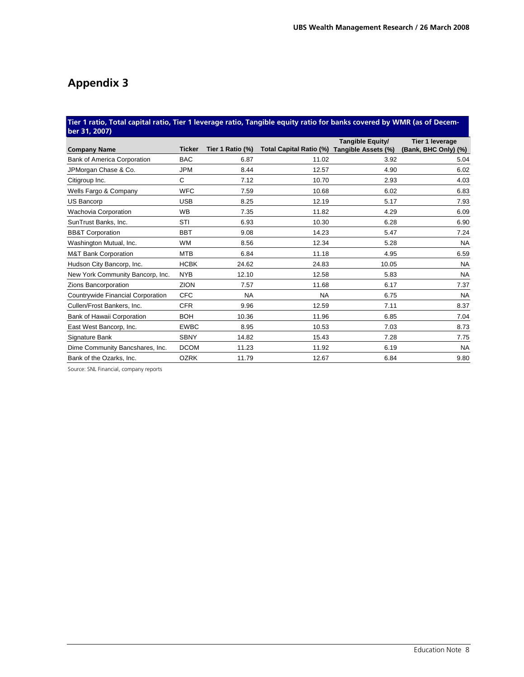### **Tier 1 ratio, Total capital ratio, Tier 1 leverage ratio, Tangible equity ratio for banks covered by WMR (as of December 31, 2007)**

| <b>Company Name</b>               | <b>Ticker</b> | Tier 1 Ratio (%) | <b>Total Capital Ratio (%)</b> | <b>Tangible Equity/</b><br>Tangible Assets (%) | <b>Tier 1 leverage</b><br>(Bank, BHC Only) (%) |
|-----------------------------------|---------------|------------------|--------------------------------|------------------------------------------------|------------------------------------------------|
| Bank of America Corporation       | <b>BAC</b>    | 6.87             | 11.02                          | 3.92                                           | 5.04                                           |
| JPMorgan Chase & Co.              | <b>JPM</b>    | 8.44             | 12.57                          | 4.90                                           | 6.02                                           |
| Citigroup Inc.                    | C             | 7.12             | 10.70                          | 2.93                                           | 4.03                                           |
| Wells Fargo & Company             | <b>WFC</b>    | 7.59             | 10.68                          | 6.02                                           | 6.83                                           |
| <b>US Bancorp</b>                 | <b>USB</b>    | 8.25             | 12.19                          | 5.17                                           | 7.93                                           |
| Wachovia Corporation              | <b>WB</b>     | 7.35             | 11.82                          | 4.29                                           | 6.09                                           |
| SunTrust Banks, Inc.              | STI           | 6.93             | 10.30                          | 6.28                                           | 6.90                                           |
| <b>BB&amp;T Corporation</b>       | <b>BBT</b>    | 9.08             | 14.23                          | 5.47                                           | 7.24                                           |
| Washington Mutual, Inc.           | <b>WM</b>     | 8.56             | 12.34                          | 5.28                                           | <b>NA</b>                                      |
| <b>M&amp;T Bank Corporation</b>   | <b>MTB</b>    | 6.84             | 11.18                          | 4.95                                           | 6.59                                           |
| Hudson City Bancorp, Inc.         | <b>HCBK</b>   | 24.62            | 24.83                          | 10.05                                          | <b>NA</b>                                      |
| New York Community Bancorp, Inc.  | <b>NYB</b>    | 12.10            | 12.58                          | 5.83                                           | <b>NA</b>                                      |
| Zions Bancorporation              | <b>ZION</b>   | 7.57             | 11.68                          | 6.17                                           | 7.37                                           |
| Countrywide Financial Corporation | <b>CFC</b>    | <b>NA</b>        | <b>NA</b>                      | 6.75                                           | <b>NA</b>                                      |
| Cullen/Frost Bankers, Inc.        | <b>CFR</b>    | 9.96             | 12.59                          | 7.11                                           | 8.37                                           |
| Bank of Hawaii Corporation        | <b>BOH</b>    | 10.36            | 11.96                          | 6.85                                           | 7.04                                           |
| East West Bancorp, Inc.           | <b>EWBC</b>   | 8.95             | 10.53                          | 7.03                                           | 8.73                                           |
| Signature Bank                    | <b>SBNY</b>   | 14.82            | 15.43                          | 7.28                                           | 7.75                                           |
| Dime Community Bancshares, Inc.   | <b>DCOM</b>   | 11.23            | 11.92                          | 6.19                                           | <b>NA</b>                                      |
| Bank of the Ozarks, Inc.          | <b>OZRK</b>   | 11.79            | 12.67                          | 6.84                                           | 9.80                                           |

Source: SNL Financial, company reports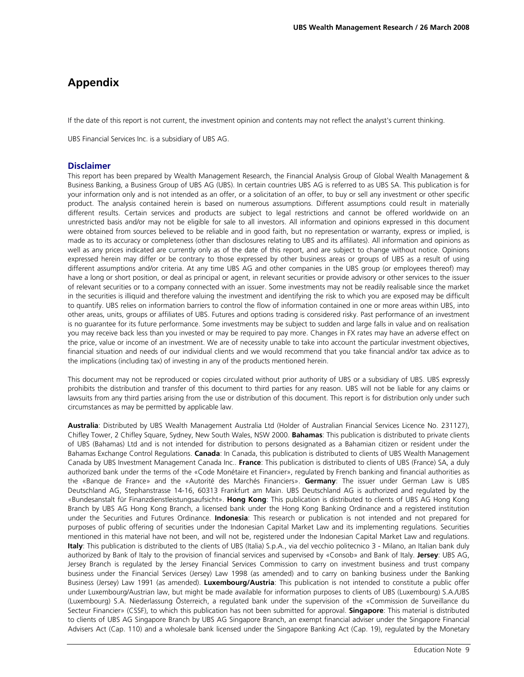If the date of this report is not current, the investment opinion and contents may not reflect the analyst's current thinking.

UBS Financial Services Inc. is a subsidiary of UBS AG.

#### **Disclaimer**

This report has been prepared by Wealth Management Research, the Financial Analysis Group of Global Wealth Management & Business Banking, a Business Group of UBS AG (UBS). In certain countries UBS AG is referred to as UBS SA. This publication is for your information only and is not intended as an offer, or a solicitation of an offer, to buy or sell any investment or other specific product. The analysis contained herein is based on numerous assumptions. Different assumptions could result in materially different results. Certain services and products are subject to legal restrictions and cannot be offered worldwide on an unrestricted basis and/or may not be eligible for sale to all investors. All information and opinions expressed in this document were obtained from sources believed to be reliable and in good faith, but no representation or warranty, express or implied, is made as to its accuracy or completeness (other than disclosures relating to UBS and its affiliates). All information and opinions as well as any prices indicated are currently only as of the date of this report, and are subject to change without notice. Opinions expressed herein may differ or be contrary to those expressed by other business areas or groups of UBS as a result of using different assumptions and/or criteria. At any time UBS AG and other companies in the UBS group (or employees thereof) may have a long or short position, or deal as principal or agent, in relevant securities or provide advisory or other services to the issuer of relevant securities or to a company connected with an issuer. Some investments may not be readily realisable since the market in the securities is illiquid and therefore valuing the investment and identifying the risk to which you are exposed may be difficult to quantify. UBS relies on information barriers to control the flow of information contained in one or more areas within UBS, into other areas, units, groups or affiliates of UBS. Futures and options trading is considered risky. Past performance of an investment is no guarantee for its future performance. Some investments may be subject to sudden and large falls in value and on realisation you may receive back less than you invested or may be required to pay more. Changes in FX rates may have an adverse effect on the price, value or income of an investment. We are of necessity unable to take into account the particular investment objectives, financial situation and needs of our individual clients and we would recommend that you take financial and/or tax advice as to the implications (including tax) of investing in any of the products mentioned herein.

This document may not be reproduced or copies circulated without prior authority of UBS or a subsidiary of UBS. UBS expressly prohibits the distribution and transfer of this document to third parties for any reason. UBS will not be liable for any claims or lawsuits from any third parties arising from the use or distribution of this document. This report is for distribution only under such circumstances as may be permitted by applicable law.

**Australia**: Distributed by UBS Wealth Management Australia Ltd (Holder of Australian Financial Services Licence No. 231127), Chifley Tower, 2 Chifley Square, Sydney, New South Wales, NSW 2000. **Bahamas**: This publication is distributed to private clients of UBS (Bahamas) Ltd and is not intended for distribution to persons designated as a Bahamian citizen or resident under the Bahamas Exchange Control Regulations. **Canada**: In Canada, this publication is distributed to clients of UBS Wealth Management Canada by UBS Investment Management Canada Inc.. **France**: This publication is distributed to clients of UBS (France) SA, a duly authorized bank under the terms of the «Code Monétaire et Financier», regulated by French banking and financial authorities as the «Banque de France» and the «Autorité des Marchés Financiers». **Germany**: The issuer under German Law is UBS Deutschland AG, Stephanstrasse 14-16, 60313 Frankfurt am Main. UBS Deutschland AG is authorized and regulated by the «Bundesanstalt für Finanzdienstleistungsaufsicht». **Hong Kong**: This publication is distributed to clients of UBS AG Hong Kong Branch by UBS AG Hong Kong Branch, a licensed bank under the Hong Kong Banking Ordinance and a registered institution under the Securities and Futures Ordinance. **Indonesia**: This research or publication is not intended and not prepared for purposes of public offering of securities under the Indonesian Capital Market Law and its implementing regulations. Securities mentioned in this material have not been, and will not be, registered under the Indonesian Capital Market Law and regulations. **Italy**: This publication is distributed to the clients of UBS (Italia) S.p.A., via del vecchio politecnico 3 - Milano, an Italian bank duly authorized by Bank of Italy to the provision of financial services and supervised by «Consob» and Bank of Italy. **Jersey**: UBS AG, Jersey Branch is regulated by the Jersey Financial Services Commission to carry on investment business and trust company business under the Financial Services (Jersey) Law 1998 (as amended) and to carry on banking business under the Banking Business (Jersey) Law 1991 (as amended). **Luxembourg/Austria**: This publication is not intended to constitute a public offer under Luxembourg/Austrian law, but might be made available for information purposes to clients of UBS (Luxembourg) S.A./UBS (Luxembourg) S.A. Niederlassung Österreich, a regulated bank under the supervision of the «Commission de Surveillance du Secteur Financier» (CSSF), to which this publication has not been submitted for approval. **Singapore**: This material is distributed to clients of UBS AG Singapore Branch by UBS AG Singapore Branch, an exempt financial adviser under the Singapore Financial Advisers Act (Cap. 110) and a wholesale bank licensed under the Singapore Banking Act (Cap. 19), regulated by the Monetary